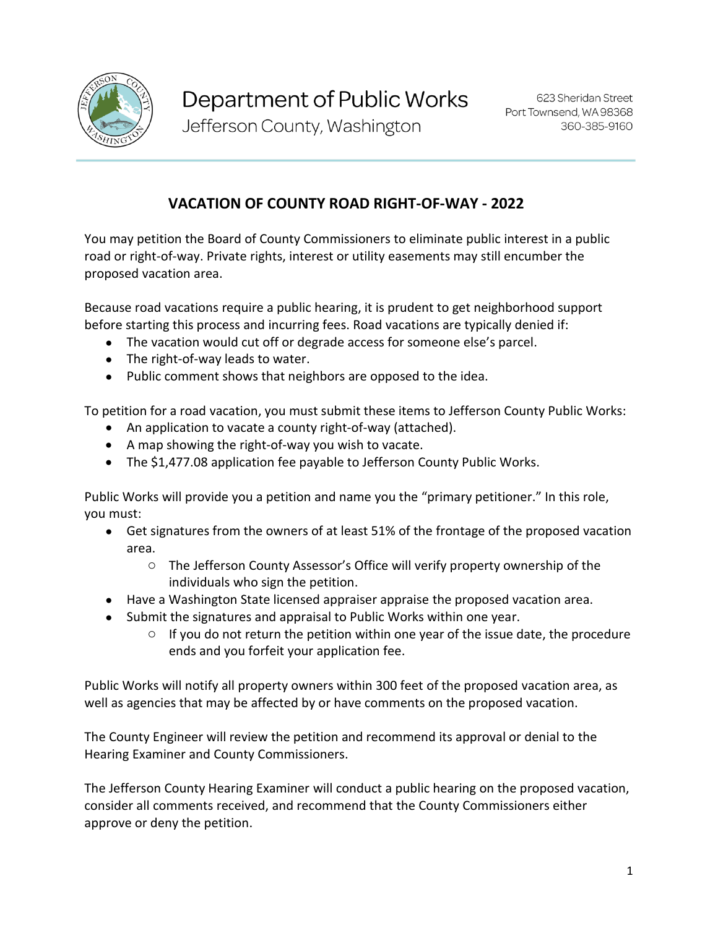

Jefferson County, Washington

## **VACATION OF COUNTY ROAD RIGHT-OF-WAY - 2022**

You may petition the Board of County Commissioners to eliminate public interest in a public road or right-of-way. Private rights, interest or utility easements may still encumber the proposed vacation area.

Because road vacations require a public hearing, it is prudent to get neighborhood support before starting this process and incurring fees. Road vacations are typically denied if:

- The vacation would cut off or degrade access for someone else's parcel.
- The right-of-way leads to water.
- Public comment shows that neighbors are opposed to the idea.

To petition for a road vacation, you must submit these items to Jefferson County Public Works:

- An application to vacate a county right-of-way (attached).
- A map showing the right-of-way you wish to vacate.
- The \$1,477.08 application fee payable to Jefferson County Public Works.

Public Works will provide you a petition and name you the "primary petitioner." In this role, you must:

- Get signatures from the owners of at least 51% of the frontage of the proposed vacation area.
	- o The Jefferson County Assessor's Office will verify property ownership of the individuals who sign the petition.
- Have a Washington State licensed appraiser appraise the proposed vacation area.
- Submit the signatures and appraisal to Public Works within one year.
	- $\circ$  If you do not return the petition within one year of the issue date, the procedure ends and you forfeit your application fee.

Public Works will notify all property owners within 300 feet of the proposed vacation area, as well as agencies that may be affected by or have comments on the proposed vacation.

The County Engineer will review the petition and recommend its approval or denial to the Hearing Examiner and County Commissioners.

The Jefferson County Hearing Examiner will conduct a public hearing on the proposed vacation, consider all comments received, and recommend that the County Commissioners either approve or deny the petition.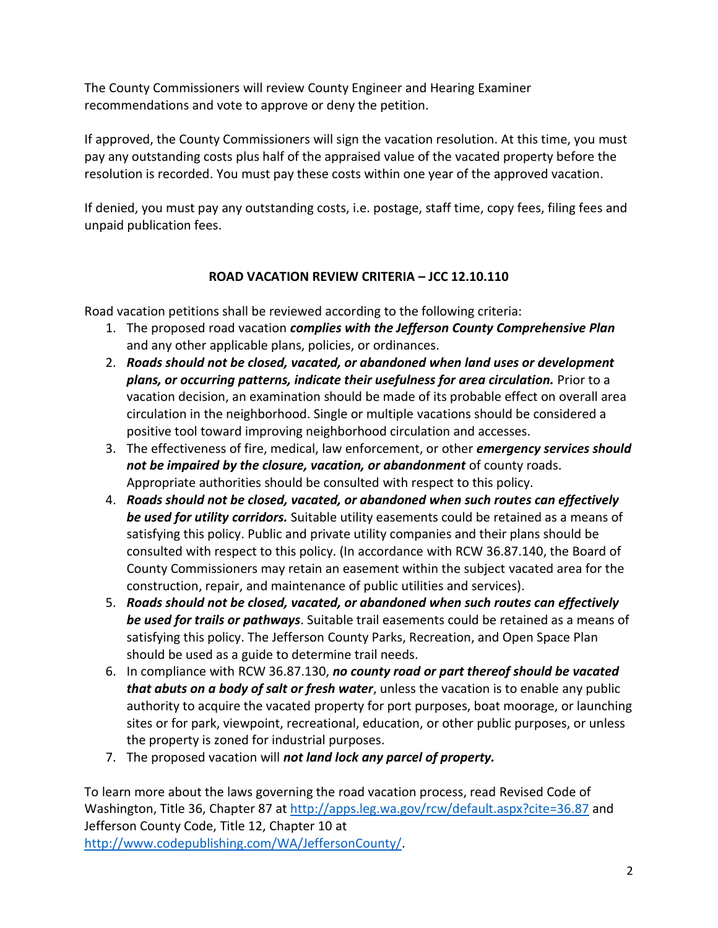The County Commissioners will review County Engineer and Hearing Examiner recommendations and vote to approve or deny the petition.

If approved, the County Commissioners will sign the vacation resolution. At this time, you must pay any outstanding costs plus half of the appraised value of the vacated property before the resolution is recorded. You must pay these costs within one year of the approved vacation.

If denied, you must pay any outstanding costs, i.e. postage, staff time, copy fees, filing fees and unpaid publication fees.

### **ROAD VACATION REVIEW CRITERIA – JCC 12.10.110**

Road vacation petitions shall be reviewed according to the following criteria:

- 1. The proposed road vacation *complies with the Jefferson County Comprehensive Plan* and any other applicable plans, policies, or ordinances.
- 2. *Roads should not be closed, vacated, or abandoned when land uses or development plans, or occurring patterns, indicate their usefulness for area circulation.* Prior to a vacation decision, an examination should be made of its probable effect on overall area circulation in the neighborhood. Single or multiple vacations should be considered a positive tool toward improving neighborhood circulation and accesses.
- 3. The effectiveness of fire, medical, law enforcement, or other *emergency services should not be impaired by the closure, vacation, or abandonment* of county roads. Appropriate authorities should be consulted with respect to this policy.
- 4. *Roads should not be closed, vacated, or abandoned when such routes can effectively be used for utility corridors.* Suitable utility easements could be retained as a means of satisfying this policy. Public and private utility companies and their plans should be consulted with respect to this policy. (In accordance with RCW 36.87.140, the Board of County Commissioners may retain an easement within the subject vacated area for the construction, repair, and maintenance of public utilities and services).
- 5. *Roads should not be closed, vacated, or abandoned when such routes can effectively be used for trails or pathways*. Suitable trail easements could be retained as a means of satisfying this policy. The Jefferson County Parks, Recreation, and Open Space Plan should be used as a guide to determine trail needs.
- 6. In compliance with RCW 36.87.130, *no county road or part thereof should be vacated that abuts on a body of salt or fresh water*, unless the vacation is to enable any public authority to acquire the vacated property for port purposes, boat moorage, or launching sites or for park, viewpoint, recreational, education, or other public purposes, or unless the property is zoned for industrial purposes.
- 7. The proposed vacation will *not land lock any parcel of property.*

To learn more about the laws governing the road vacation process, read Revised Code of Washington, Title 36, Chapter 87 at<http://apps.leg.wa.gov/rcw/default.aspx?cite=36.87> and Jefferson County Code, Title 12, Chapter 10 at [http://www.codepublishing.com/WA/JeffersonCounty/.](http://www.codepublishing.com/WA/JeffersonCounty/)